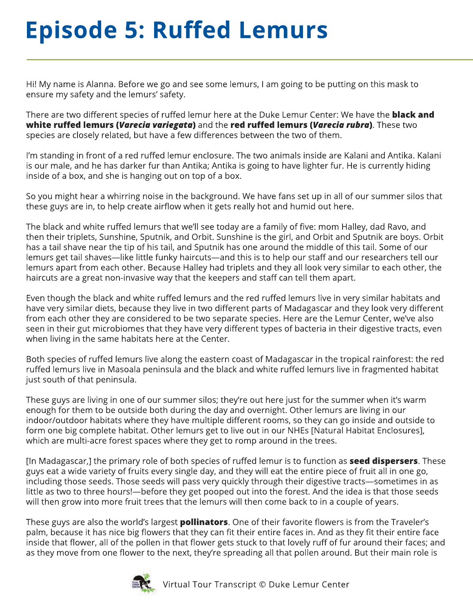## **Episode 5: Ruffed Lemurs**

Hi! My name is Alanna. Before we go and see some lemurs, I am going to be putting on this mask to ensure my safety and the lemurs' safety.

There are two different species of ruffed lemur here at the Duke Lemur Center: We have the **black and white ruffed lemurs (***Varecia variegata***)** and the **red ruffed lemurs (***Varecia rubra***)**. These two species are closely related, but have a few differences between the two of them.

I'm standing in front of a red ruffed lemur enclosure. The two animals inside are Kalani and Antika. Kalani is our male, and he has darker fur than Antika; Antika is going to have lighter fur. He is currently hiding inside of a box, and she is hanging out on top of a box.

So you might hear a whirring noise in the background. We have fans set up in all of our summer silos that these guys are in, to help create airflow when it gets really hot and humid out here.

The black and white ruffed lemurs that we'll see today are a family of five: mom Halley, dad Ravo, and then their triplets, Sunshine, Sputnik, and Orbit. Sunshine is the girl, and Orbit and Sputnik are boys. Orbit has a tail shave near the tip of his tail, and Sputnik has one around the middle of this tail. Some of our lemurs get tail shaves—like little funky haircuts—and this is to help our staff and our researchers tell our lemurs apart from each other. Because Halley had triplets and they all look very similar to each other, the haircuts are a great non-invasive way that the keepers and staff can tell them apart.

Even though the black and white ruffed lemurs and the red ruffed lemurs live in very similar habitats and have very similar diets, because they live in two different parts of Madagascar and they look very different from each other they are considered to be two separate species. Here are the Lemur Center, we've also seen in their gut microbiomes that they have very different types of bacteria in their digestive tracts, even when living in the same habitats here at the Center.

Both species of ruffed lemurs live along the eastern coast of Madagascar in the tropical rainforest: the red ruffed lemurs live in Masoala peninsula and the black and white ruffed lemurs live in fragmented habitat just south of that peninsula.

These guys are living in one of our summer silos; they're out here just for the summer when it's warm enough for them to be outside both during the day and overnight. Other lemurs are living in our indoor/outdoor habitats where they have multiple different rooms, so they can go inside and outside to form one big complete habitat. Other lemurs get to live out in our NHEs [Natural Habitat Enclosures], which are multi-acre forest spaces where they get to romp around in the trees.

[In Madagascar,] the primary role of both species of ruffed lemur is to function as **seed dispersers**. These guys eat a wide variety of fruits every single day, and they will eat the entire piece of fruit all in one go, including those seeds. Those seeds will pass very quickly through their digestive tracts—sometimes in as little as two to three hours!—before they get pooped out into the forest. And the idea is that those seeds will then grow into more fruit trees that the lemurs will then come back to in a couple of years.

These guys are also the world's largest **pollinators**. One of their favorite flowers is from the Traveler's palm, because it has nice big flowers that they can fit their entire faces in. And as they fit their entire face inside that flower, all of the pollen in that flower gets stuck to that lovely ruff of fur around their faces; and as they move from one flower to the next, they're spreading all that pollen around. But their main role is